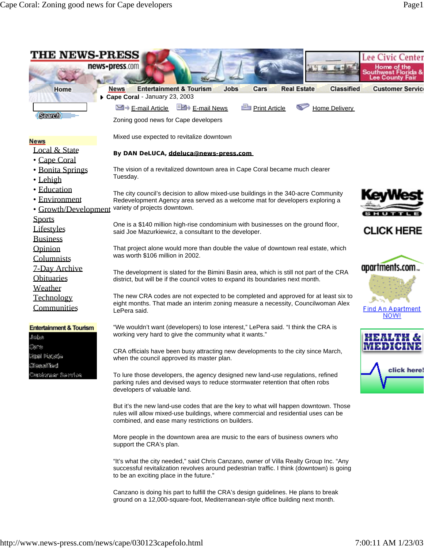